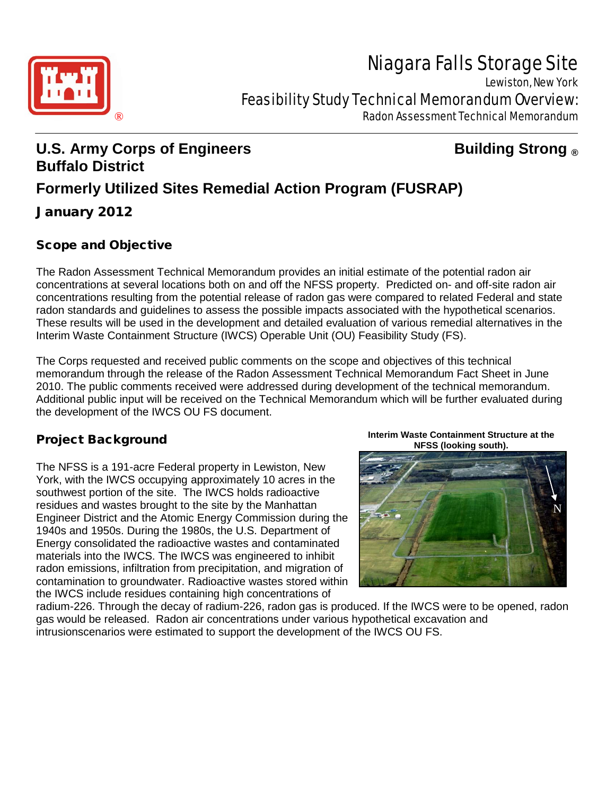# Niagara Falls Storage Site



Lewiston, New York Feasibility Study Technical Memorandum Overview:

® Radon Assessment Technical Memorandum

## **U.S. Army Corps of Engineers Building Strong ® Buffalo District Formerly Utilized Sites Remedial Action Program (FUSRAP)** January 2012

## Scope and Objective

The Radon Assessment Technical Memorandum provides an initial estimate of the potential radon air concentrations at several locations both on and off the NFSS property. Predicted on- and off-site radon air concentrations resulting from the potential release of radon gas were compared to related Federal and state radon standards and guidelines to assess the possible impacts associated with the hypothetical scenarios. These results will be used in the development and detailed evaluation of various remedial alternatives in the Interim Waste Containment Structure (IWCS) Operable Unit (OU) Feasibility Study (FS).

The Corps requested and received public comments on the scope and objectives of this technical memorandum through the release of the Radon Assessment Technical Memorandum Fact Sheet in June 2010. The public comments received were addressed during development of the technical memorandum. Additional public input will be received on the Technical Memorandum which will be further evaluated during the development of the IWCS OU FS document.

## Project Background

The NFSS is a 191-acre Federal property in Lewiston, New York, with the IWCS occupying approximately 10 acres in the southwest portion of the site. The IWCS holds radioactive residues and wastes brought to the site by the Manhattan Engineer District and the Atomic Energy Commission during the 1940s and 1950s. During the 1980s, the U.S. Department of Energy consolidated the radioactive wastes and contaminated materials into the IWCS. The IWCS was engineered to inhibit radon emissions, infiltration from precipitation, and migration of contamination to groundwater. Radioactive wastes stored within the IWCS include residues containing high concentrations of

**Interim Waste Containment Structure at the NFSS (looking south).**



radium-226. Through the decay of radium-226, radon gas is produced. If the IWCS were to be opened, radon gas would be released. Radon air concentrations under various hypothetical excavation and intrusionscenarios were estimated to support the development of the IWCS OU FS.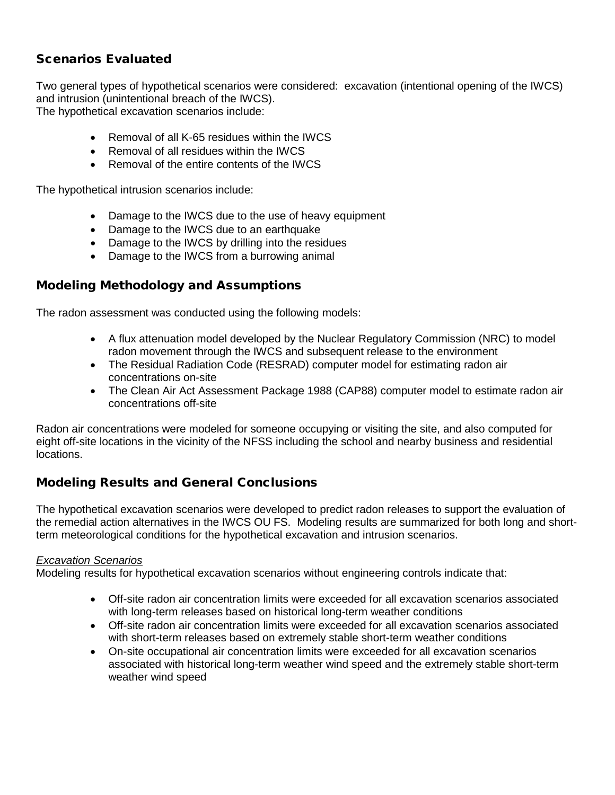## Scenarios Evaluated

Two general types of hypothetical scenarios were considered: excavation (intentional opening of the IWCS) and intrusion (unintentional breach of the IWCS). The hypothetical excavation scenarios include:

- Removal of all K-65 residues within the IWCS
- Removal of all residues within the IWCS
- Removal of the entire contents of the IWCS

The hypothetical intrusion scenarios include:

- Damage to the IWCS due to the use of heavy equipment
- Damage to the IWCS due to an earthquake
- Damage to the IWCS by drilling into the residues
- Damage to the IWCS from a burrowing animal

## Modeling Methodology and Assumptions

The radon assessment was conducted using the following models:

- A flux attenuation model developed by the Nuclear Regulatory Commission (NRC) to model radon movement through the IWCS and subsequent release to the environment
- The Residual Radiation Code (RESRAD) computer model for estimating radon air concentrations on-site
- The Clean Air Act Assessment Package 1988 (CAP88) computer model to estimate radon air concentrations off-site

Radon air concentrations were modeled for someone occupying or visiting the site, and also computed for eight off-site locations in the vicinity of the NFSS including the school and nearby business and residential locations.

## Modeling Results and General Conclusions

The hypothetical excavation scenarios were developed to predict radon releases to support the evaluation of the remedial action alternatives in the IWCS OU FS. Modeling results are summarized for both long and shortterm meteorological conditions for the hypothetical excavation and intrusion scenarios.

#### *Excavation Scenarios*

Modeling results for hypothetical excavation scenarios without engineering controls indicate that:

- Off-site radon air concentration limits were exceeded for all excavation scenarios associated with long-term releases based on historical long-term weather conditions
- Off-site radon air concentration limits were exceeded for all excavation scenarios associated with short-term releases based on extremely stable short-term weather conditions
- On-site occupational air concentration limits were exceeded for all excavation scenarios associated with historical long-term weather wind speed and the extremely stable short-term weather wind speed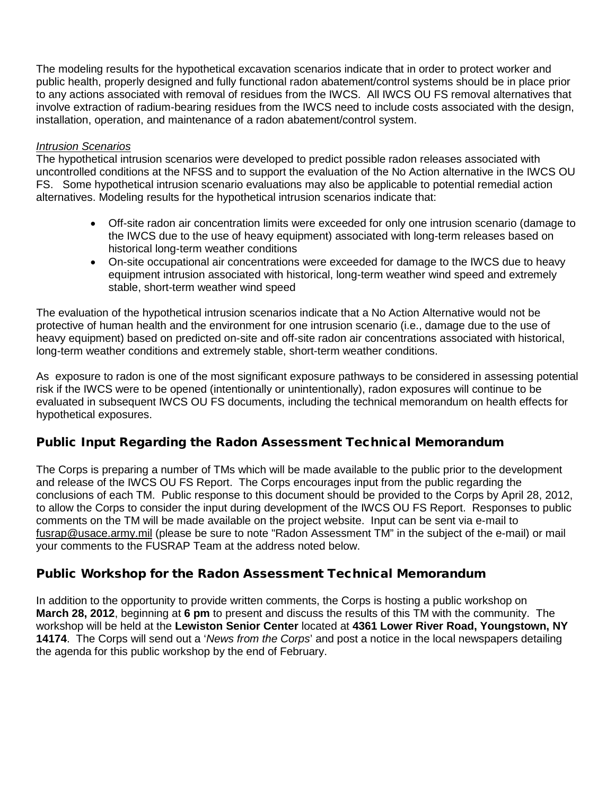The modeling results for the hypothetical excavation scenarios indicate that in order to protect worker and public health, properly designed and fully functional radon abatement/control systems should be in place prior to any actions associated with removal of residues from the IWCS. All IWCS OU FS removal alternatives that involve extraction of radium-bearing residues from the IWCS need to include costs associated with the design, installation, operation, and maintenance of a radon abatement/control system.

#### *Intrusion Scenarios*

The hypothetical intrusion scenarios were developed to predict possible radon releases associated with uncontrolled conditions at the NFSS and to support the evaluation of the No Action alternative in the IWCS OU FS. Some hypothetical intrusion scenario evaluations may also be applicable to potential remedial action alternatives. Modeling results for the hypothetical intrusion scenarios indicate that:

- Off-site radon air concentration limits were exceeded for only one intrusion scenario (damage to the IWCS due to the use of heavy equipment) associated with long-term releases based on historical long-term weather conditions
- On-site occupational air concentrations were exceeded for damage to the IWCS due to heavy equipment intrusion associated with historical, long-term weather wind speed and extremely stable, short-term weather wind speed

The evaluation of the hypothetical intrusion scenarios indicate that a No Action Alternative would not be protective of human health and the environment for one intrusion scenario (i.e., damage due to the use of heavy equipment) based on predicted on-site and off-site radon air concentrations associated with historical, long-term weather conditions and extremely stable, short-term weather conditions.

As exposure to radon is one of the most significant exposure pathways to be considered in assessing potential risk if the IWCS were to be opened (intentionally or unintentionally), radon exposures will continue to be evaluated in subsequent IWCS OU FS documents, including the technical memorandum on health effects for hypothetical exposures.

## Public Input Regarding the Radon Assessment Technical Memorandum

The Corps is preparing a number of TMs which will be made available to the public prior to the development and release of the IWCS OU FS Report. The Corps encourages input from the public regarding the conclusions of each TM. Public response to this document should be provided to the Corps by April 28, 2012, to allow the Corps to consider the input during development of the IWCS OU FS Report. Responses to public comments on the TM will be made available on the project website. Input can be sent via e-mail to fusrap@usace.army.mil (please be sure to note "Radon Assessment TM" in the subject of the e-mail) or mail your comments to the FUSRAP Team at the address noted below.

## Public Workshop for the Radon Assessment Technical Memorandum

In addition to the opportunity to provide written comments, the Corps is hosting a public workshop on **March 28, 2012**, beginning at **6 pm** to present and discuss the results of this TM with the community. The workshop will be held at the **Lewiston Senior Center** located at **4361 Lower River Road, Youngstown, NY 14174**. The Corps will send out a '*News from the Corps*' and post a notice in the local newspapers detailing the agenda for this public workshop by the end of February.